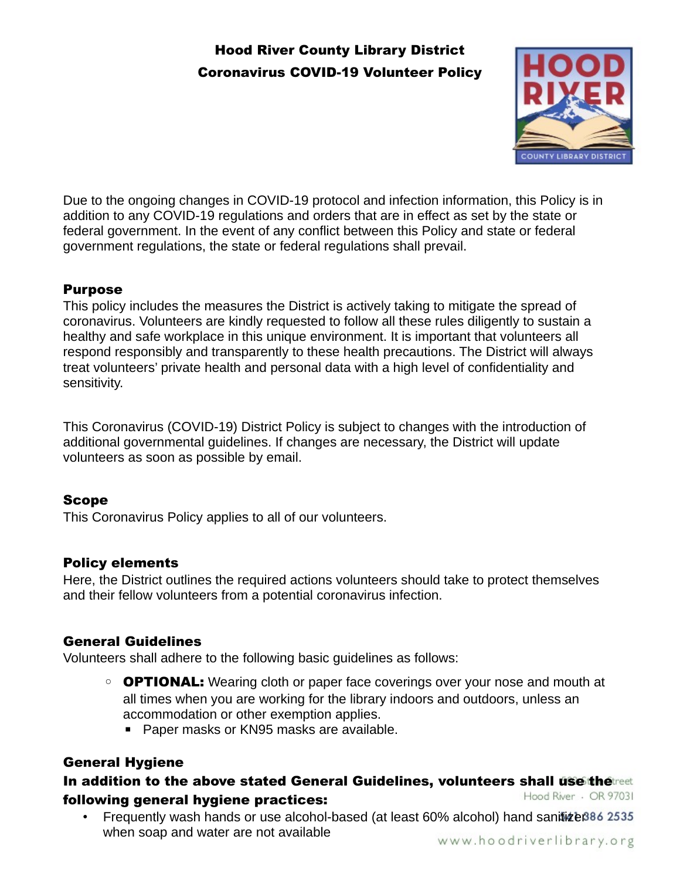# Hood River County Library District Coronavirus COVID-19 Volunteer Policy



Due to the ongoing changes in COVID-19 protocol and infection information, this Policy is in addition to any COVID-19 regulations and orders that are in effect as set by the state or federal government. In the event of any conflict between this Policy and state or federal government regulations, the state or federal regulations shall prevail.

### Purpose

This policy includes the measures the District is actively taking to mitigate the spread of coronavirus. Volunteers are kindly requested to follow all these rules diligently to sustain a healthy and safe workplace in this unique environment. It is important that volunteers all respond responsibly and transparently to these health precautions. The District will always treat volunteers' private health and personal data with a high level of confidentiality and sensitivity.

This Coronavirus (COVID-19) District Policy is subject to changes with the introduction of additional governmental guidelines. If changes are necessary, the District will update volunteers as soon as possible by email.

### Scope

This Coronavirus Policy applies to all of our volunteers.

### Policy elements

Here, the District outlines the required actions volunteers should take to protect themselves and their fellow volunteers from a potential coronavirus infection.

# General Guidelines

Volunteers shall adhere to the following basic guidelines as follows:

- **OPTIONAL:** Wearing cloth or paper face coverings over your nose and mouth at all times when you are working for the library indoors and outdoors, unless an accommodation or other exemption applies.
	- Paper masks or KN95 masks are available.

# General Hygiene

#### In addition to the above stated General Guidelines, volunteers shall use the reet Hood River - OR 97031 following general hygiene practices:

• Frequently wash hands or use alcohol-based (at least 60% alcohol) hand sanitizer 886 2535 when soap and water are not available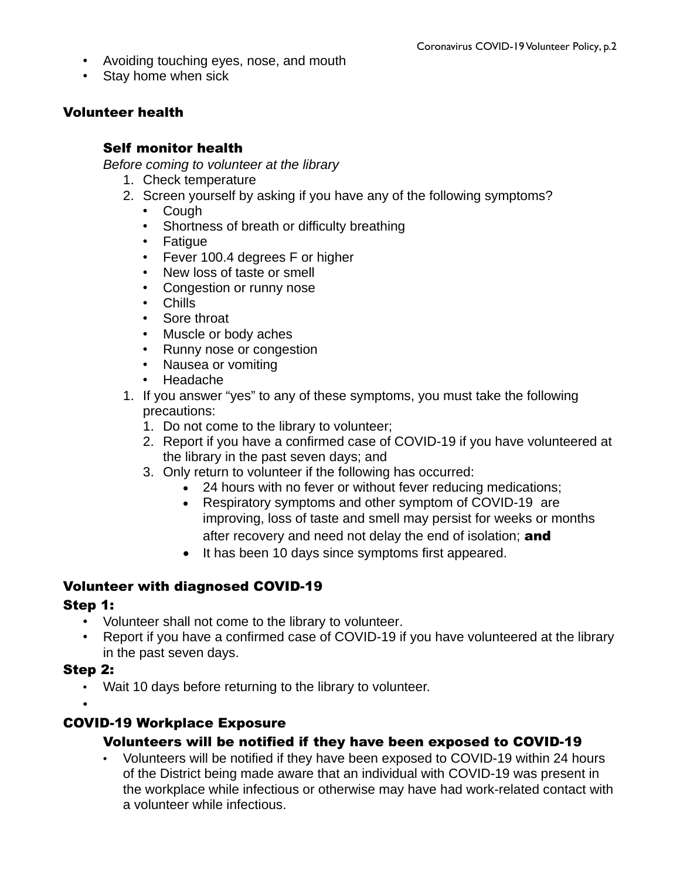- Avoiding touching eyes, nose, and mouth
- Stay home when sick

### Volunteer health

### Self monitor health

*Before coming to volunteer at the library*

- 1. Check temperature
- 2. Screen yourself by asking if you have any of the following symptoms?
	- Cough
	- Shortness of breath or difficulty breathing
	- Fatigue
	- Fever 100.4 degrees F or higher
	- New loss of taste or smell
	- Congestion or runny nose
	- Chills
	- Sore throat
	- Muscle or body aches
	- Runny nose or congestion
	- Nausea or vomiting
	- Headache
- 1. If you answer "yes" to any of these symptoms, you must take the following precautions:
	- 1. Do not come to the library to volunteer;
	- 2. Report if you have a confirmed case of COVID-19 if you have volunteered at the library in the past seven days; and
	- 3. Only return to volunteer if the following has occurred:
		- 24 hours with no fever or without fever reducing medications;
		- Respiratory symptoms and other symptom of COVID-19 are improving, loss of taste and smell may persist for weeks or months after recovery and need not delay the end of isolation; and
		- It has been 10 days since symptoms first appeared.

# Volunteer with diagnosed COVID-19

#### Step 1:

- Volunteer shall not come to the library to volunteer.
- Report if you have a confirmed case of COVID-19 if you have volunteered at the library in the past seven days.

#### Step 2:

• Wait 10 days before returning to the library to volunteer.

•

# COVID-19 Workplace Exposure

### Volunteers will be notified if they have been exposed to COVID-19

• Volunteers will be notified if they have been exposed to COVID-19 within 24 hours of the District being made aware that an individual with COVID-19 was present in the workplace while infectious or otherwise may have had work-related contact with a volunteer while infectious.